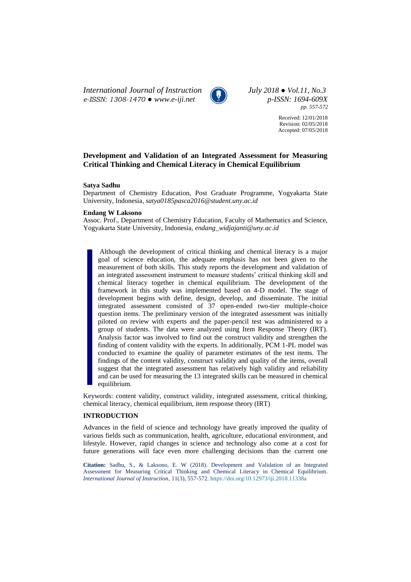*International Journal of Instruction July 2018 ● Vol.11, No.3 e-ISSN: 1308-1470 ● [www.e-iji.net](http://www.e-iji.net/) p-ISSN: 1694-609X*



*pp. 557-572*

Received: 12/01/2018 Revision: 02/05/2018 Accepted: 07/05/2018

# **Development and Validation of an Integrated Assessment for Measuring Critical Thinking and Chemical Literacy in Chemical Equilibrium**

## **Satya Sadhu**

Department of Chemistry Education, Post Graduate Programme, Yogyakarta State University, Indonesia, *satya0185pasca2016@student.uny.ac.id*

# **Endang W Laksono**

Assoc. Prof., Department of Chemistry Education, Faculty of Mathematics and Science, Yogyakarta State University, Indonesia, *endang\_widjajanti@uny.ac.id*

Although the development of critical thinking and chemical literacy is a major goal of science education, the adequate emphasis has not been given to the measurement of both skills. This study reports the development and validation of an integrated assessment instrument to measure students' critical thinking skill and chemical literacy together in chemical equilibrium. The development of the framework in this study was implemented based on 4-D model. The stage of development begins with define, design, develop, and disseminate. The initial integrated assessment consisted of 37 open-ended two-tier multiple-choice question items. The preliminary version of the integrated assessment was initially piloted on review with experts and the paper-pencil test was administered to a group of students. The data were analyzed using Item Response Theory (IRT). Analysis factor was involved to find out the construct validity and strengthen the finding of content validity with the experts. In additionally, PCM 1-PL model was conducted to examine the quality of parameter estimates of the test items. The findings of the content validity, construct validity and quality of the items, overall suggest that the integrated assessment has relatively high validity and reliability and can be used for measuring the 13 integrated skills can be measured in chemical equilibrium.

Keywords: content validity, construct validity, integrated assessment, critical thinking, chemical literacy, chemical equilibrium, item response theory (IRT)

# **INTRODUCTION**

Advances in the field of science and technology have greatly improved the quality of various fields such as communication, health, agriculture, educational environment, and lifestyle. However, rapid changes in science and technology also come at a cost for future generations will face even more challenging decisions than the current one

**Citation:** Sadhu, S., & Laksono, E. W (2018). Development and Validation of an Integrated Assessment for Measuring Critical Thinking and Chemical Literacy in Chemical Equilibrium. *International Journal of Instruction*, 11(3), 557-572. <https://doi.org/10.12973/iji.2018.11338a>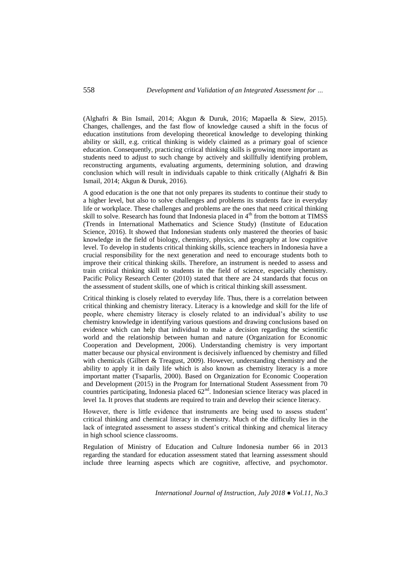(Alghafri & Bin Ismail, 2014; Akgun & Duruk, 2016; Mapaella & Siew, 2015). Changes, challenges, and the fast flow of knowledge caused a shift in the focus of education institutions from developing theoretical knowledge to developing thinking ability or skill, e.g. critical thinking is widely claimed as a primary goal of science education. Consequently, practicing critical thinking skills is growing more important as students need to adjust to such change by actively and skillfully identifying problem, reconstructing arguments, evaluating arguments, determining solution, and drawing conclusion which will result in individuals capable to think critically (Alghafri & Bin Ismail, 2014; Akgun & Duruk, 2016).

A good education is the one that not only prepares its students to continue their study to a higher level, but also to solve challenges and problems its students face in everyday life or workplace. These challenges and problems are the ones that need critical thinking skill to solve. Research has found that Indonesia placed in 4<sup>th</sup> from the bottom at TIMSS (Trends in International Mathematics and Science Study) (Institute of Education Science, 2016). It showed that Indonesian students only mastered the theories of basic knowledge in the field of biology, chemistry, physics, and geography at low cognitive level. To develop in students critical thinking skills, science teachers in Indonesia have a crucial responsibility for the next generation and need to encourage students both to improve their critical thinking skills. Therefore, an instrument is needed to assess and train critical thinking skill to students in the field of science, especially chemistry. Pacific Policy Research Center (2010) stated that there are 24 standards that focus on the assessment of student skills, one of which is critical thinking skill assessment.

Critical thinking is closely related to everyday life. Thus, there is a correlation between critical thinking and chemistry literacy. Literacy is a knowledge and skill for the life of people, where chemistry literacy is closely related to an individual's ability to use chemistry knowledge in identifying various questions and drawing conclusions based on evidence which can help that individual to make a decision regarding the scientific world and the relationship between human and nature (Organization for Economic Cooperation and Development, 2006). Understanding chemistry is very important matter because our physical environment is decisively influenced by chemistry and filled with chemicals (Gilbert & Treagust, 2009). However, understanding chemistry and the ability to apply it in daily life which is also known as chemistry literacy is a more important matter (Tsaparlis, 2000). Based on Organization for Economic Cooperation and Development (2015) in the Program for International Student Assessment from 70 countries participating, Indonesia placed  $62<sup>nd</sup>$ . Indonesian science literacy was placed in level 1a. It proves that students are required to train and develop their science literacy.

However, there is little evidence that instruments are being used to assess student' critical thinking and chemical literacy in chemistry. Much of the difficulty lies in the lack of integrated assessment to assess student's critical thinking and chemical literacy in high school science classrooms.

Regulation of Ministry of Education and Culture Indonesia number 66 in 2013 regarding the standard for education assessment stated that learning assessment should include three learning aspects which are cognitive, affective, and psychomotor.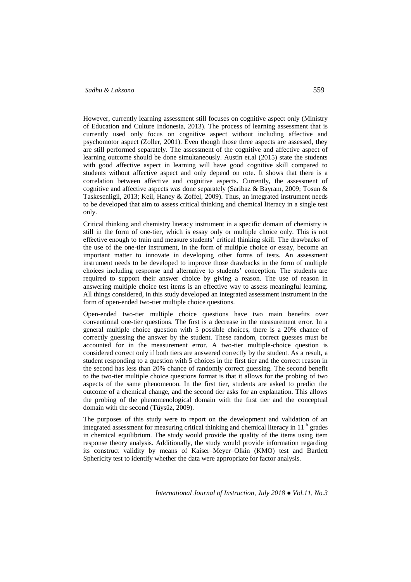# *Sadhu & Laksono* 559

However, currently learning assessment still focuses on cognitive aspect only (Ministry of Education and Culture Indonesia, 2013). The process of learning assessment that is currently used only focus on cognitive aspect without including affective and psychomotor aspect (Zoller, 2001). Even though those three aspects are assessed, they are still performed separately. The assessment of the cognitive and affective aspect of learning outcome should be done simultaneously. Austin et.al (2015) state the students with good affective aspect in learning will have good cognitive skill compared to students without affective aspect and only depend on rote. It shows that there is a correlation between affective and cognitive aspects. Currently, the assessment of cognitive and affective aspects was done separately (Saribaz & Bayram, 2009; Tosun & Taskesenligil, 2013; Keil, Haney & Zoffel, 2009). Thus, an integrated instrument needs to be developed that aim to assess critical thinking and chemical literacy in a single test only.

Critical thinking and chemistry literacy instrument in a specific domain of chemistry is still in the form of one-tier, which is essay only or multiple choice only. This is not effective enough to train and measure students' critical thinking skill. The drawbacks of the use of the one-tier instrument, in the form of multiple choice or essay, become an important matter to innovate in developing other forms of tests. An assessment instrument needs to be developed to improve those drawbacks in the form of multiple choices including response and alternative to students' conception. The students are required to support their answer choice by giving a reason. The use of reason in answering multiple choice test items is an effective way to assess meaningful learning. All things considered, in this study developed an integrated assessment instrument in the form of open-ended two-tier multiple choice questions.

Open-ended two-tier multiple choice questions have two main benefits over conventional one-tier questions. The first is a decrease in the measurement error. In a general multiple choice question with 5 possible choices, there is a 20% chance of correctly guessing the answer by the student. These random, correct guesses must be accounted for in the measurement error. A two-tier multiple-choice question is considered correct only if both tiers are answered correctly by the student. As a result, a student responding to a question with 5 choices in the first tier and the correct reason in the second has less than 20% chance of randomly correct guessing. The second benefit to the two-tier multiple choice questions format is that it allows for the probing of two aspects of the same phenomenon. In the first tier, students are asked to predict the outcome of a chemical change, and the second tier asks for an explanation. This allows the probing of the phenomenological domain with the first tier and the conceptual domain with the second (Tüysüz, 2009).

The purposes of this study were to report on the development and validation of an integrated assessment for measuring critical thinking and chemical literacy in  $11<sup>th</sup>$  grades in chemical equilibrium. The study would provide the quality of the items using item response theory analysis. Additionally, the study would provide information regarding its construct validity by means of Kaiser–Meyer–Olkin (KMO) test and Bartlett Sphericity test to identify whether the data were appropriate for factor analysis.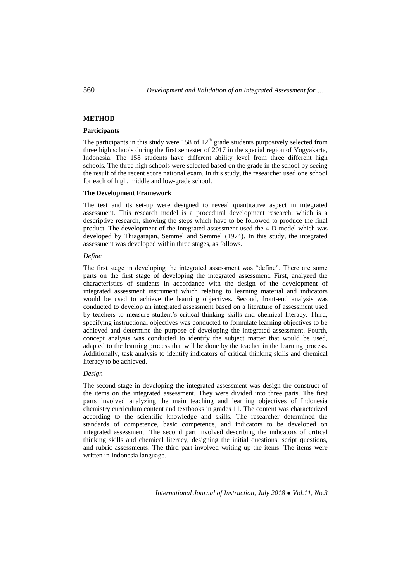# **METHOD**

# **Participants**

The participants in this study were 158 of  $12<sup>th</sup>$  grade students purposively selected from three high schools during the first semester of 2017 in the special region of Yogyakarta, Indonesia. The 158 students have different ability level from three different high schools. The three high schools were selected based on the grade in the school by seeing the result of the recent score national exam. In this study, the researcher used one school for each of high, middle and low-grade school.

## **The Development Framework**

The test and its set-up were designed to reveal quantitative aspect in integrated assessment. This research model is a procedural development research, which is a descriptive research, showing the steps which have to be followed to produce the final product. The development of the integrated assessment used the 4-D model which was developed by Thiagarajan, Semmel and Semmel (1974). In this study, the integrated assessment was developed within three stages, as follows.

## *Define*

The first stage in developing the integrated assessment was "define". There are some parts on the first stage of developing the integrated assessment. First, analyzed the characteristics of students in accordance with the design of the development of integrated assessment instrument which relating to learning material and indicators would be used to achieve the learning objectives. Second, front-end analysis was conducted to develop an integrated assessment based on a literature of assessment used by teachers to measure student's critical thinking skills and chemical literacy. Third, specifying instructional objectives was conducted to formulate learning objectives to be achieved and determine the purpose of developing the integrated assessment. Fourth, concept analysis was conducted to identify the subject matter that would be used, adapted to the learning process that will be done by the teacher in the learning process. Additionally, task analysis to identify indicators of critical thinking skills and chemical literacy to be achieved.

### *Design*

The second stage in developing the integrated assessment was design the construct of the items on the integrated assessment. They were divided into three parts. The first parts involved analyzing the main teaching and learning objectives of Indonesia chemistry curriculum content and textbooks in grades 11. The content was characterized according to the scientific knowledge and skills. The researcher determined the standards of competence, basic competence, and indicators to be developed on integrated assessment. The second part involved describing the indicators of critical thinking skills and chemical literacy, designing the initial questions, script questions, and rubric assessments. The third part involved writing up the items. The items were written in Indonesia language.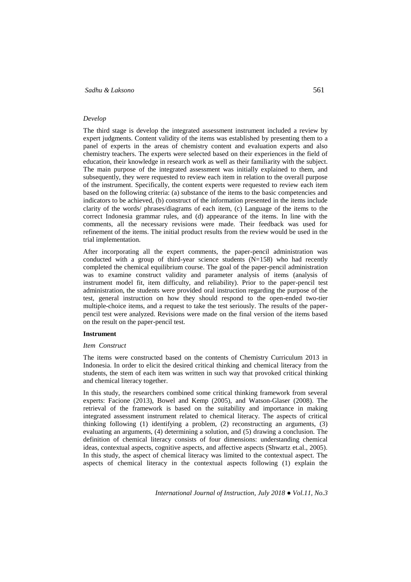# *Sadhu & Laksono* 561

### *Develop*

The third stage is develop the integrated assessment instrument included a review by expert judgments. Content validity of the items was established by presenting them to a panel of experts in the areas of chemistry content and evaluation experts and also chemistry teachers. The experts were selected based on their experiences in the field of education, their knowledge in research work as well as their familiarity with the subject. The main purpose of the integrated assessment was initially explained to them, and subsequently, they were requested to review each item in relation to the overall purpose of the instrument. Specifically, the content experts were requested to review each item based on the following criteria: (a) substance of the items to the basic competencies and indicators to be achieved, (b) construct of the information presented in the items include clarity of the words/ phrases/diagrams of each item, (c) Language of the items to the correct Indonesia grammar rules, and (d) appearance of the items. In line with the comments, all the necessary revisions were made. Their feedback was used for refinement of the items. The initial product results from the review would be used in the trial implementation.

After incorporating all the expert comments, the paper-pencil administration was conducted with a group of third-year science students (N=158) who had recently completed the chemical equilibrium course. The goal of the paper-pencil administration was to examine construct validity and parameter analysis of items (analysis of instrument model fit, item difficulty, and reliability). Prior to the paper-pencil test administration, the students were provided oral instruction regarding the purpose of the test, general instruction on how they should respond to the open-ended two-tier multiple-choice items, and a request to take the test seriously. The results of the paperpencil test were analyzed. Revisions were made on the final version of the items based on the result on the paper-pencil test.

# **Instrument**

# *Item Construct*

The items were constructed based on the contents of Chemistry Curriculum 2013 in Indonesia. In order to elicit the desired critical thinking and chemical literacy from the students, the stem of each item was written in such way that provoked critical thinking and chemical literacy together.

In this study, the researchers combined some critical thinking framework from several experts: Facione (2013), Bowel and Kemp (2005), and Watson-Glaser (2008). The retrieval of the framework is based on the suitability and importance in making integrated assessment instrument related to chemical literacy. The aspects of critical thinking following (1) identifying a problem, (2) reconstructing an arguments, (3) evaluating an arguments, (4) determining a solution, and (5) drawing a conclusion. The definition of chemical literacy consists of four dimensions: understanding chemical ideas, contextual aspects, cognitive aspects, and affective aspects (Shwartz et.al., 2005). In this study, the aspect of chemical literacy was limited to the contextual aspect. The aspects of chemical literacy in the contextual aspects following (1) explain the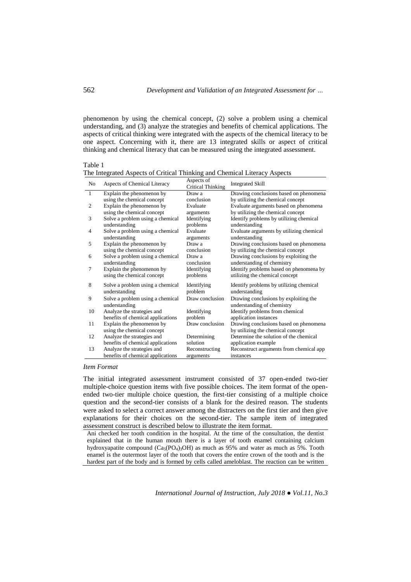phenomenon by using the chemical concept, (2) solve a problem using a chemical understanding, and (3) analyze the strategies and benefits of chemical applications. The aspects of critical thinking were integrated with the aspects of the chemical literacy to be one aspect. Concerning with it, there are 13 integrated skills or aspect of critical thinking and chemical literacy that can be measured using the integrated assessment.

No Aspects of Chemical Literacy Aspects of Critical Thinking Integrated Skill 1 Explain the phenomenon by using the chemical concept Draw a conclusion Drawing conclusions based on phenomena by utilizing the chemical concept 2 Explain the phenomenon by using the chemical concept Evaluate arguments Evaluate arguments based on phenomena by utilizing the chemical concept 3 Solve a problem using a chemical understanding Identifying problems Identify problems by utilizing chemical understanding 4 Solve a problem using a chemical understanding Evaluate arguments Evaluate arguments by utilizing chemical understanding 5 Explain the phenomenon by using the chemical concept Draw a conclusion Drawing conclusions based on phenomena by utilizing the chemical concept 6 Solve a problem using a chemical understanding Draw a conclusion Drawing conclusions by exploiting the understanding of chemistry 7 Explain the phenomenon by using the chemical concept Identifying problems Identify problems based on phenomena by utilizing the chemical concept Solve a problem using a chemical understanding Identifying problem Identify problems by utilizing chemical understanding 9 Solve a problem using a chemical understanding Draw conclusion Drawing conclusions by exploiting the understanding of chemistry 10 Analyze the strategies and benefits of chemical applications Identifying problem<br>Draw conclusion Identify problems from chemical application instances 11 Explain the phenomenon by using the chemical concept Drawing conclusions based on phenomena by utilizing the chemical concept 12 Analyze the strategies and benefits of chemical applications Determining solution Determine the solution of the chemical application example 13 Analyze the strategies and benefits of chemical applications Reconstructing arguments Reconstruct arguments from chemical app instances

# Table 1 The Integrated Aspects of Critical Thinking and Chemical Literacy Aspects

### *Item Format*

The initial integrated assessment instrument consisted of 37 open-ended two-tier multiple-choice question items with five possible choices. The item format of the openended two-tier multiple choice question, the first-tier consisting of a multiple choice question and the second-tier consists of a blank for the desired reason. The students were asked to select a correct answer among the distracters on the first tier and then give explanations for their choices on the second-tier. The sample item of integrated assessment construct is described below to illustrate the item format.

Ani checked her tooth condition in the hospital. At the time of the consultation, the dentist explained that in the human mouth there is a layer of tooth enamel containing calcium hydroxyapatite compound  $(Ca_5(PO_4)_3OH)$  as much as 95% and water as much as 5%. Tooth enamel is the outermost layer of the tooth that covers the entire crown of the tooth and is the hardest part of the body and is formed by cells called ameloblast. The reaction can be written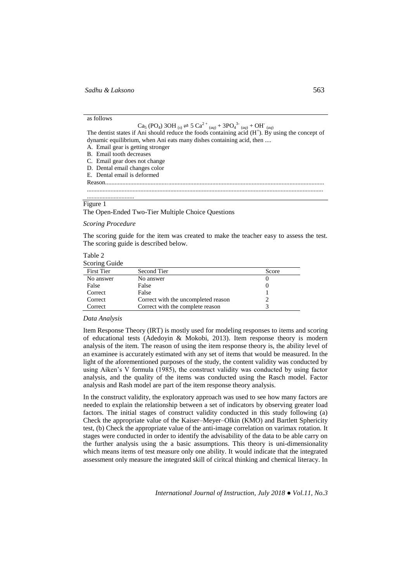### as follows

Ca<sub>5</sub> (PO<sub>4</sub>) 3OH  $_{(s)} \rightleftharpoons 5$  Ca<sup>2 +</sup>  $_{(aq)} + 3PQ_4^{3-}$   $_{(aq)} +$  OH<sup>T</sup>  $_{(aq)}$ <br>The dentist states if Ani should reduce the foods containing acid (H<sup>+</sup>). By using the concept of dynamic equilibrium, when Ani eats many dishes containing acid, then ....

- A. Email gear is getting stronger
- B. Email tooth decreases
- C. Email gear does not change
- D. Dental email changes color
- E. Dental email is deformed
- Reason........................................................................................................................................... ......................................................................................................................................................

# ..............................

#### Figure 1

The Open-Ended Two-Tier Multiple Choice Questions

*Scoring Procedure* 

The scoring guide for the item was created to make the teacher easy to assess the test. The scoring guide is described below.

| Table 2       |  |
|---------------|--|
| Scoring Guide |  |

| <b>First Tier</b> | Second Tier                         | Score |
|-------------------|-------------------------------------|-------|
| No answer         | No answer                           |       |
| False             | False                               |       |
| Correct           | False                               |       |
| Correct           | Correct with the uncompleted reason |       |
| Correct           | Correct with the complete reason    |       |

### *Data Analysis*

Item Response Theory (IRT) is mostly used for modeling responses to items and scoring of educational tests (Adedoyin & Mokobi, 2013). Item response theory is modern analysis of the item. The reason of using the item response theory is, the ability level of an examinee is accurately estimated with any set of items that would be measured. In the light of the aforementioned purposes of the study, the content validity was conducted by using Aiken's V formula (1985), the construct validity was conducted by using factor analysis, and the quality of the items was conducted using the Rasch model. Factor analysis and Rash model are part of the item response theory analysis.

In the construct validity, the exploratory approach was used to see how many factors are needed to explain the relationship between a set of indicators by observing greater load factors. The initial stages of construct validity conducted in this study following (a) Check the appropriate value of the Kaiser–Meyer–Olkin (KMO) and Bartlett Sphericity test, (b) Check the appropriate value of the anti-image correlation on varimax rotation. It stages were conducted in order to identify the advisability of the data to be able carry on the further analysis using the a basic assumptions. This theory is uni-dimensionality which means items of test measure only one ability. It would indicate that the integrated assessment only measure the integrated skill of ciritcal thinking and chemical literacy. In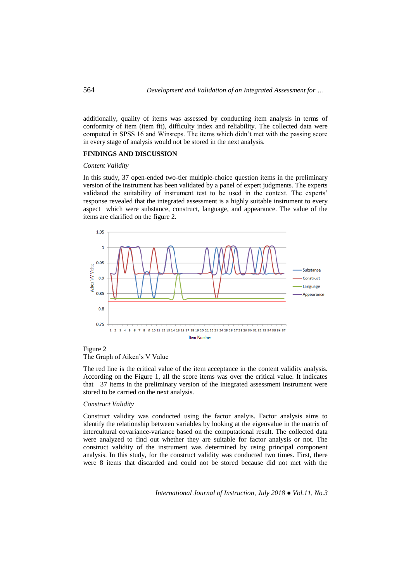additionally, quality of items was assessed by conducting item analysis in terms of conformity of item (item fit), difficulty index and reliability. The collected data were computed in SPSS 16 and Winsteps. The items which didn't met with the passing score in every stage of analysis would not be stored in the next analysis.

### **FINDINGS AND DISCUSSION**

## *Content Validity*

In this study, 37 open-ended two-tier multiple-choice question items in the preliminary version of the instrument has been validated by a panel of expert judgments. The experts validated the suitability of instrument test to be used in the context. The experts' response revealed that the integrated assessment is a highly suitable instrument to every aspect which were substance, construct, language, and appearance. The value of the items are clarified on the figure 2.



# Figure 2 The Graph of Aiken's V Value

The red line is the critical value of the item acceptance in the content validity analysis. According on the Figure 1, all the score items was over the critical value. It indicates that 37 items in the preliminary version of the integrated assessment instrument were stored to be carried on the next analysis.

# *Construct Validity*

Construct validity was conducted using the factor analyis. Factor analysis aims to identify the relationship between variables by looking at the eigenvalue in the matrix of intercultural covariance-variance based on the computational result. The collected data were analyzed to find out whether they are suitable for factor analysis or not. The construct validity of the instrument was determined by using principal component analysis. In this study, for the construct validity was conducted two times. First, there were 8 items that discarded and could not be stored because did not met with the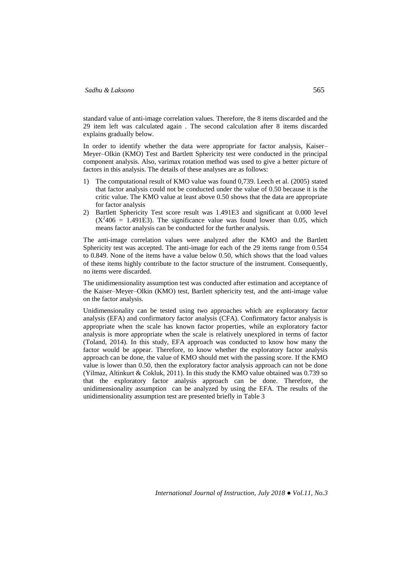standard value of anti-image correlation values. Therefore, the 8 items discarded and the 29 item left was calculated again . The second calculation after 8 items discarded explains gradually below.

In order to identify whether the data were appropriate for factor analysis, Kaiser– Meyer–Olkin (KMO) Test and Bartlett Sphericity test were conducted in the principal component analysis. Also, varimax rotation method was used to give a better picture of factors in this analysis. The details of these analyses are as follows:

- 1) The computational result of KMO value was found 0,739. Leech et al. (2005) stated that factor analysis could not be conducted under the value of 0.50 because it is the critic value. The KMO value at least above 0.50 shows that the data are appropriate for factor analysis
- 2) Bartlett Sphericity Test score result was 1.491E3 and significant at 0.000 level  $(X^2406 = 1.491E3)$ . The significance value was found lower than 0.05, which means factor analysis can be conducted for the further analysis.

The anti-image correlation values were analyzed after the KMO and the Bartlett Sphericity test was accepted. The anti-image for each of the 29 items range from 0.554 to 0.849. None of the items have a value below 0.50, which shows that the load values of these items highly contribute to the factor structure of the instrument. Consequently, no items were discarded.

The unidimensionality assumption test was conducted after estimation and acceptance of the Kaiser–Meyer–Olkin (KMO) test, Bartlett sphericity test, and the anti-image value on the factor analysis.

Unidimensionality can be tested using two approaches which are exploratory factor analysis (EFA) and confirmatory factor analysis (CFA). Confirmatory factor analysis is appropriate when the scale has known factor properties, while an exploratory factor analysis is more appropriate when the scale is relatively unexplored in terms of factor (Toland, 2014). In this study, EFA approach was conducted to know how many the factor would be appear. Therefore, to know whether the exploratory factor analysis approach can be done, the value of KMO should met with the passing score. If the KMO value is lower than 0.50, then the exploratory factor analysis approach can not be done (Yilmaz, Altinkurt & Cokluk, 2011). In this study the KMO value obtained was 0.739 so that the exploratory factor analysis approach can be done. Therefore, the unidimensionality assumption can be analyzed by using the EFA. The results of the unidimensionality assumption test are presented briefly in Table 3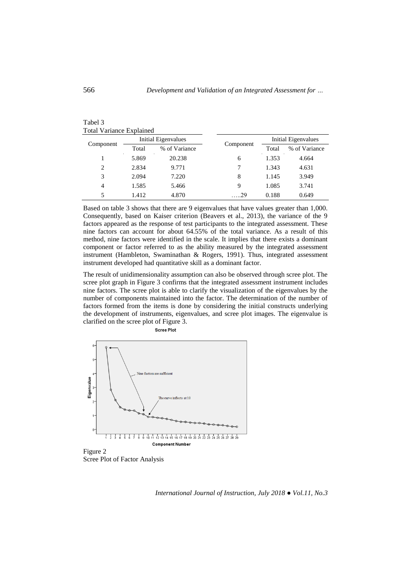| Component      | Initial Eigenvalues |               |            | <b>Initial Eigenvalues</b> |               |
|----------------|---------------------|---------------|------------|----------------------------|---------------|
|                | Total               | % of Variance | Component  | Total                      | % of Variance |
|                | 5.869               | 20.238        | 6          | 1.353                      | 4.664         |
| $\overline{c}$ | 2.834               | 9.771         |            | 1.343                      | 4.631         |
| 3              | 2.094               | 7.220         | 8          | 1.145                      | 3.949         |
| $\overline{4}$ | 1.585               | 5.466         | 9          | 1.085                      | 3.741         |
| 5              | 1.412               | 4.870         | $\dots 29$ | 0.188                      | 0.649         |

# Tabel 3 Total Variance Explained

Based on table 3 shows that there are 9 eigenvalues that have values greater than 1,000. Consequently, based on Kaiser criterion (Beavers et al., 2013), the variance of the 9 factors appeared as the response of test participants to the integrated assessment. These nine factors can account for about 64.55% of the total variance. As a result of this method, nine factors were identified in the scale. It implies that there exists a dominant component or factor referred to as the ability measured by the integrated assessment instrument (Hambleton, Swaminathan & Rogers, 1991). Thus, integrated assessment instrument developed had quantitative skill as a dominant factor.

The result of unidimensionality assumption can also be observed through scree plot. The scree plot graph in Figure 3 confirms that the integrated assessment instrument includes nine factors. The scree plot is able to clarify the visualization of the eigenvalues by the number of components maintained into the factor. The determination of the number of factors formed from the items is done by considering the initial constructs underlying the development of instruments, eigenvalues, and scree plot images. The eigenvalue is clarified on the scree plot of Figure 3.



Scree Plot

Scree Plot of Factor Analysis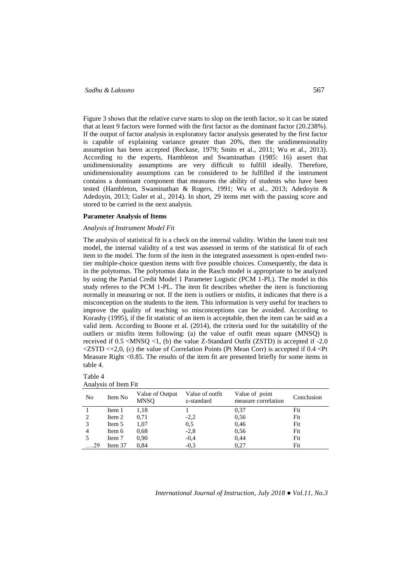# *Sadhu & Laksono* 567

Figure 3 shows that the relative curve starts to slop on the tenth factor, so it can be stated that at least 9 factors were formed with the first factor as the dominant factor (20.238%). If the output of factor analysis in exploratory factor analysis generated by the first factor is capable of explaining variance greater than 20%, then the unidimensionality assumption has been accepted (Reckase, 1979; Smits et al., 2011; Wu et al., 2013). According to the experts, Hambleton and Swaminathan (1985: 16) assert that unidimensionality assumptions are very difficult to fulfill ideally. Therefore, unidimensionality assumptions can be considered to be fulfilled if the instrument contains a dominant component that measures the ability of students who have been tested (Hambleton, Swaminathan & Rogers, 1991; Wu et al., 2013; Adedoyin & Adedoyin, 2013; Guler et al., 2014). In short, 29 items met with the passing score and stored to be carried in the next analysis.

### **Parameter Analysis of Items**

### *Analysis of Instrument Model Fit*

The analysis of statistical fit is a check on the internal validity. Within the latent trait test model, the internal validity of a test was assessed in terms of the statistical fit of each item to the model. The form of the item in the integrated assessment is open-ended twotier multiple-choice question items with five possible choices. Consequently, the data is in the polytomus. The polytomus data in the Rasch model is appropriate to be analyzed by using the Partial Credit Model 1 Parameter Logistic (PCM 1-PL). The model in this study referes to the PCM 1-PL. The item fit describes whether the item is functioning normally in measuring or not. If the item is outliers or misfits, it indicates that there is a misconception on the students to the item. This information is very useful for teachers to improve the quality of teaching so misconceptions can be avoided. According to Korashy (1995), if the fit statistic of an item is acceptable, then the item can be said as a valid item. According to Boone et al. (2014), the criteria used for the suitability of the outliers or misfits items following: (a) the value of outfit mean square (MNSQ) is received if  $0.5 \leq MNSQ \leq 1$ , (b) the value Z-Standard Outfit (ZSTD) is accepted if  $-2.0$  $\langle ZSTD \langle +2,0, (c) \rangle$  the value of Correlation Points (Pt Mean Corr) is accepted if 0.4  $\langle$ Pt Measure Right <0.85. The results of the item fit are presented briefly for some items in table 4.

| Table 4              |  |
|----------------------|--|
| Analysis of Item Fit |  |

| No   | Item No | Value of Output<br><b>MNSO</b> | Value of outfit<br>z-standard | Value of point<br>measure correlation | Conclusion |
|------|---------|--------------------------------|-------------------------------|---------------------------------------|------------|
|      | Item 1  | 1,18                           |                               | 0,37                                  | Fit        |
|      | Item 2  | 0,71                           | $-2,2$                        | 0,56                                  | Fit        |
|      | Item 5  | 1.07                           | 0.5                           | 0,46                                  | Fit        |
| 4    | Item 6  | 0.68                           | $-2,8$                        | 0.56                                  | Fit        |
|      | Item 7  | 0.90                           | $-0.4$                        | 0,44                                  | Fit        |
| . 29 | Item 37 | 0.84                           | $-0.3$                        | 0,27                                  | Fit        |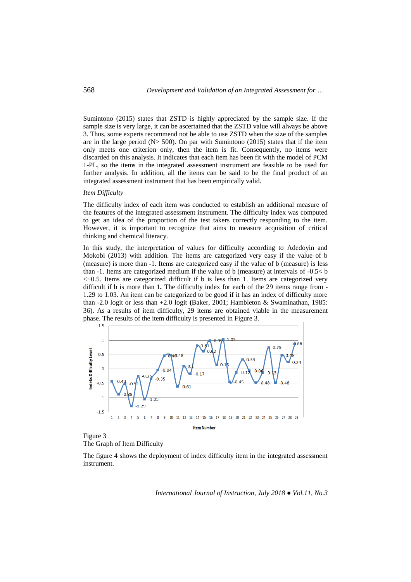Sumintono (2015) states that ZSTD is highly appreciated by the sample size. If the sample size is very large, it can be ascertained that the ZSTD value will always be above 3. Thus, some experts recommend not be able to use ZSTD when the size of the samples are in the large period  $(N> 500)$ . On par with Sumintono (2015) states that if the item only meets one criterion only, then the item is fit. Consequently, no items were discarded on this analysis. It indicates that each item has been fit with the model of PCM 1-PL, so the items in the integrated assessment instrument are feasible to be used for further analysis. In addition, all the items can be said to be the final product of an integrated assessment instrument that has been empirically valid.

## *Item Difficulty*

The difficulty index of each item was conducted to establish an additional measure of the features of the integrated assessment instrument. The difficulty index was computed to get an idea of the proportion of the test takers correctly responding to the item. However, it is important to recognize that aims to measure acquisition of critical thinking and chemical literacy.

In this study, the interpretation of values for difficulty according to Adedoyin and Mokobi (2013) with addition. The items are categorized very easy if the value of b (measure) is more than -1. Items are categorized easy if the value of b (measure) is less than -1. Items are categorized medium if the value of b (measure) at intervals of -0.5< b  $\lt$  +0.5. Items are categorized difficult if b is less than 1. Items are categorized very difficult if b is more than 1*.* The difficulty index for each of the 29 items range from - 1.29 to 1.03. An item can be categorized to be good if it has an index of difficulty more than -2.0 logit or less than +2.0 logit **(**Baker, 2001; Hambleton & Swaminathan, 1985: 36). As a results of item difficulty, 29 items are obtained viable in the measurement phase. The results of the item difficulty is presented in Figure 3.



Figure 3 The Graph of Item Difficulty

The figure 4 shows the deployment of index difficulty item in the integrated assessment instrument.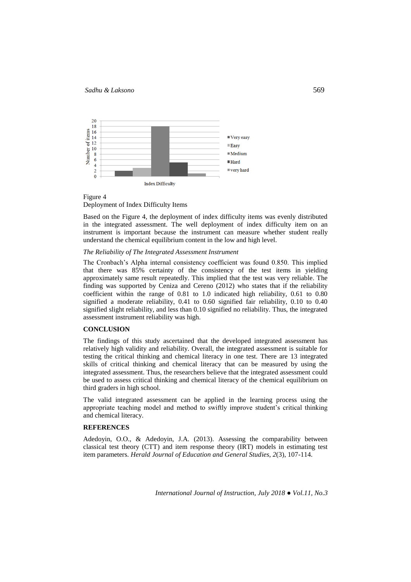

Figure 4 Deployment of Index Difficulty Items

Based on the Figure 4, the deployment of index difficulty items was evenly distributed in the integrated assessment. The well deployment of index difficulty item on an instrument is important because the instrument can measure whether student really understand the chemical equilibrium content in the low and high level.

## *The Reliability of The Integrated Assessment Instrument*

The Cronbach's Alpha internal consistency coefficient was found 0.850. This implied that there was 85% certainty of the consistency of the test items in yielding approximately same result repeatedly. This implied that the test was very reliable. The finding was supported by Ceniza and Cereno (2012) who states that if the reliability coefficient within the range of 0.81 to 1.0 indicated high reliability, 0.61 to 0.80 signified a moderate reliability, 0.41 to 0.60 signified fair reliability, 0.10 to 0.40 signified slight reliability, and less than 0.10 signified no reliability. Thus, the integrated assessment instrument reliability was high.

## **CONCLUSION**

The findings of this study ascertained that the developed integrated assessment has relatively high validity and reliability. Overall, the integrated assessment is suitable for testing the critical thinking and chemical literacy in one test. There are 13 integrated skills of critical thinking and chemical literacy that can be measured by using the integrated assessment. Thus, the researchers believe that the integrated assessment could be used to assess critical thinking and chemical literacy of the chemical equilibrium on third graders in high school.

The valid integrated assessment can be applied in the learning process using the appropriate teaching model and method to swiftly improve student's critical thinking and chemical literacy.

# **REFERENCES**

Adedoyin, O.O., & Adedoyin, J.A. (2013). Assessing the comparability between classical test theory (CTT) and item response theory (IRT) models in estimating test item parameters. *Herald Journal of Education and General Studies*, *2*(3), 107-114.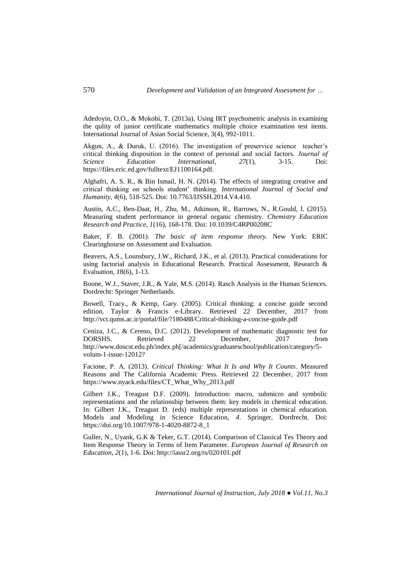Adedoyin, O.O., & Mokobi, T. (2013a). Using IRT psychometric analysis in examining the qulity of junior certificate mathematics multiple choice examination test items. International Journal of Asian Social Science, 3(4), 992-1011.

Akgun, A., & Duruk, U. (2016). The investigation of preservice science teacher's critical thinking disposition in the context of personal and social factors. *Journal of Science Education International*, *27*(1), 3-15. Doi: https://files.eric.ed.gov/fulltext/EJ1100164.pdf.

Alghafri, A. S. R., & Bin Ismail, H. N. (2014). The effects of integrating creative and critical thinking on schools student' thinking. *International Journal of Social and Humanity*, *4*(6), 518-525. Doi: 10.7763/IJSSH.2014.V4.410.

Austin, A.C., Ben-Daat, H., Zhu, M., Atkinson, R., Barrows, N., R.Gould, I. (2015). Measuring student performance in general organic chemistry. *Chemistry Education Research and Practice, 1*(16), 168-178. Doi: 10.1039/C4RP00208C

Baker, F. B. (2001). *The basic of item response theory*. New York: ERIC Clearinghourse on Assessment and Evaluation.

Beavers, A.S., Lounsbury, J.W., Richard, J.K., et al. (2013). Practical considerations for using factorial analysis in Educational Research. Practical Assessment, Research & Evaluation, 18(6), 1-13.

Boone, W.J., Staver, J.R., & Yale, M.S. (2014). Rasch Analysis in the Human Sciences. Dordrecht: Springer Netherlands.

Bowell, Tracy., & Kemp, Gary. (2005). Critical thinking: a concise guide second edition. Taylor & Francis e-Library. Retrieved 22 December, 2017 from http://vct.qums.ac.ir/portal/file/?180488/Critical-thinking-a-concise-guide.pdf

Ceniza, J.C., & Cereno, D.C. (2012). Development of mathematic diagnostic test for DORSHS. Retrieved 22 December, 2017 from http://www.doscst.edu.ph/index.ph[/academics/graduateschool/publication/category/5 volum-1-issue-12012?

Facione, P. A. (2013). *Critical Thinking: What It Is and Why It Counts*. Measured Reasons and The California Academic Press. Retrieved 22 December, 2017 from https://www.nyack.edu/files/CT\_What\_Why\_2013.pdf

Gilbert J.K., Treagust D.F. (2009). Introduction: macro, submicro and symbolic representations and the relationship between them: key models in chemical education. In: Gilbert J.K., Treagust D. (eds) multiple representations in chemical education. Models and Modeling in Science Education, *4*. Springer, Dordrecht. Doi: https://doi.org/10.1007/978-1-4020-8872-8\_1

Guller, N., Uyank, G.K & Teker, G.T. (2014). Comparison of Classical Tes Theory and Item Response Theory in Terms of Item Parameter. *European Journal of Research on Education*, *2*(1), 1-6. Doi: http://iassr2.org/rs/020101.pdf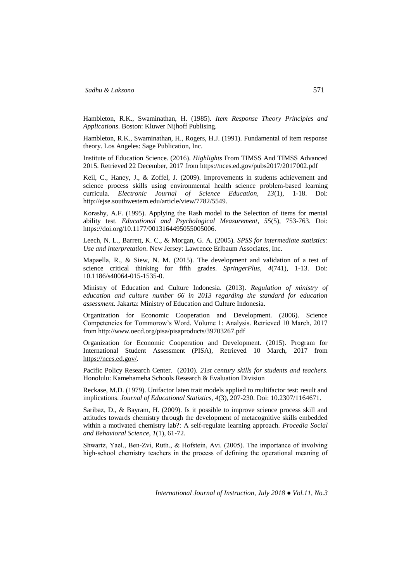Hambleton, R.K., Swaminathan, H. (1985). *Item Response Theory Principles and Applications*. Boston: Kluwer Nijhoff Publising.

Hambleton, R.K., Swaminathan, H., Rogers, H.J. (1991). Fundamental of item response theory. Los Angeles: Sage Publication, Inc.

Institute of Education Science. (2016). *Highlights* From TIMSS And TIMSS Advanced 2015. Retrieved 22 December, 2017 from https://nces.ed.gov/pubs2017/2017002.pdf

Keil, C., Haney, J., & Zoffel, J. (2009). Improvements in students achievement and science process skills using environmental health science problem-based learning curricula. *Electronic Journal of Science Education, 13*(1), 1-18. Doi: http://ejse.southwestern.edu/article/view/7782/5549.

Korashy, A.F. (1995). Applying the Rash model to the Selection of items for mental ability test. *Educational and Psychological Measurement*, *55*(5), 753-763. Doi: https://doi.org/10.1177/0013164495055005006.

Leech, N. L., Barrett, K. C., & Morgan, G. A. (2005). *SPSS for intermediate statistics: Use and interpretation*. New Jersey: Lawrence Erlbaum Associates, Inc.

Mapaella, R., & Siew, N. M. (2015). The development and validation of a test of science critical thinking for fifth grades. *SpringerPlus*, *4*(741), 1-13. Doi: 10.1186/s40064-015-1535-0.

Ministry of Education and Culture Indonesia. (2013). *Regulation of ministry of education and culture number 66 in 2013 regarding the standard for education assessment.* Jakarta: Ministry of Education and Culture Indonesia.

Organization for Economic Cooperation and Development. (2006). Science Competencies for Tommorow's Word. Volume 1: Analysis. Retrieved 10 March, 2017 from http://www.oecd.org/pisa/pisaproducts/39703267.pdf

Organization for Economic Cooperation and Development. (2015). Program for International Student Assessment (PISA), Retrieved 10 March, 2017 from [https://nces.ed.gov/.](https://nces.ed.gov/)

Pacific Policy Research Center. (2010). *21st century skills for students and teachers*. Honolulu: Kamehameha Schools Research & Evaluation Division

Reckase, M.D. (1979). Unifactor laten trait models applied to multifactor test: result and implications. *Journal of Educational Statistics, 4*(3), 207-230. Doi: 10.2307/1164671.

Saribaz, D., & Bayram, H. (2009). Is it possible to improve science process skill and attitudes towards chemistry through the development of metacognitive skills embedded within a motivated chemistry lab?: A self-regulate learning approach. *Procedia Social and Behavioral Science*, *1*(1), 61-72.

Shwartz, Yael., Ben‐Zvi, Ruth., & Hofstein, Avi. (2005). The importance of involving high-school chemistry teachers in the process of defining the operational meaning of